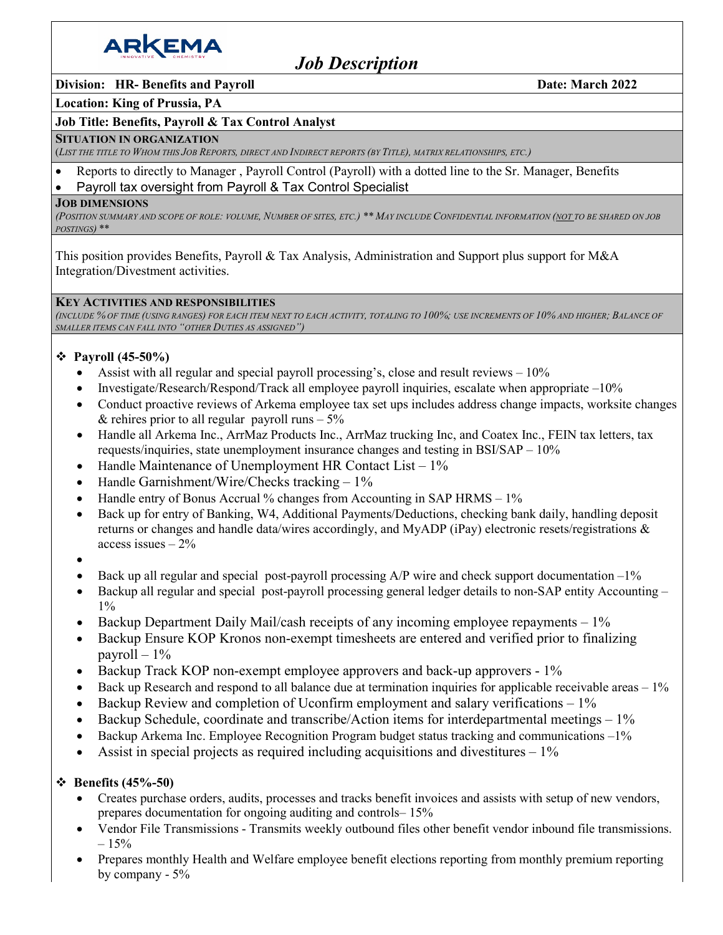

# *Job Description*

### **Division:** HR- Benefits and Payroll Date: March 2022

#### **Location: King of Prussia, PA**

#### **Job Title: Benefits, Payroll & Tax Control Analyst**

#### **SITUATION IN ORGANIZATION**

(*LIST THE TITLE TO WHOM THIS JOB REPORTS, DIRECT AND INDIRECT REPORTS (BY TITLE), MATRIX RELATIONSHIPS, ETC.)*

- Reports to directly to Manager , Payroll Control (Payroll) with a dotted line to the Sr. Manager, Benefits
- Payroll tax oversight from Payroll & Tax Control Specialist

#### **JOB DIMENSIONS**

*(POSITION SUMMARY AND SCOPE OF ROLE: VOLUME, NUMBER OF SITES, ETC.) \*\* MAY INCLUDE CONFIDENTIAL INFORMATION (NOT TO BE SHARED ON JOB POSTINGS)* \*\*

This position provides Benefits, Payroll & Tax Analysis, Administration and Support plus support for M&A Integration/Divestment activities.

#### **KEY ACTIVITIES AND RESPONSIBILITIES**

*(INCLUDE % OF TIME (USING RANGES) FOR EACH ITEM NEXT TO EACH ACTIVITY, TOTALING TO 100%; USE INCREMENTS OF 10% AND HIGHER; BALANCE OF SMALLER ITEMS CAN FALL INTO "OTHER DUTIES AS ASSIGNED")*

## **Payroll (45-50%)**

- Assist with all regular and special payroll processing's, close and result reviews  $-10\%$
- Investigate/Research/Respond/Track all employee payroll inquiries, escalate when appropriate –10%
- Conduct proactive reviews of Arkema employee tax set ups includes address change impacts, worksite changes & rehires prior to all regular payroll runs  $-5\%$
- Handle all Arkema Inc., ArrMaz Products Inc., ArrMaz trucking Inc, and Coatex Inc., FEIN tax letters, tax requests/inquiries, state unemployment insurance changes and testing in BSI/SAP – 10%
- Handle Maintenance of Unemployment HR Contact List  $-1\%$
- Handle Garnishment/Wire/Checks tracking  $-1\%$
- Handle entry of Bonus Accrual % changes from Accounting in SAP HRMS 1%
- Back up for entry of Banking, W4, Additional Payments/Deductions, checking bank daily, handling deposit returns or changes and handle data/wires accordingly, and MyADP (iPay) electronic resets/registrations & access issues  $-2\%$
- •
- Back up all regular and special post-payroll processing  $A/P$  wire and check support documentation  $-1\%$
- Backup all regular and special post-payroll processing general ledger details to non-SAP entity Accounting  $1\%$
- Backup Department Daily Mail/cash receipts of any incoming employee repayments 1%
- Backup Ensure KOP Kronos non-exempt timesheets are entered and verified prior to finalizing payroll  $-1\%$
- Backup Track KOP non-exempt employee approvers and back-up approvers 1%
- Back up Research and respond to all balance due at termination inquiries for applicable receivable areas 1%
- Backup Review and completion of Uconfirm employment and salary verifications  $-1\%$
- Backup Schedule, coordinate and transcribe/Action items for interdepartmental meetings  $-1\%$
- Backup Arkema Inc. Employee Recognition Program budget status tracking and communications –1%
- Assist in special projects as required including acquisitions and divestitures  $-1\%$

## **Benefits (45%-50)**

- Creates purchase orders, audits, processes and tracks benefit invoices and assists with setup of new vendors, prepares documentation for ongoing auditing and controls– 15%
- Vendor File Transmissions Transmits weekly outbound files other benefit vendor inbound file transmissions.  $-15%$
- Prepares monthly Health and Welfare employee benefit elections reporting from monthly premium reporting by company - 5%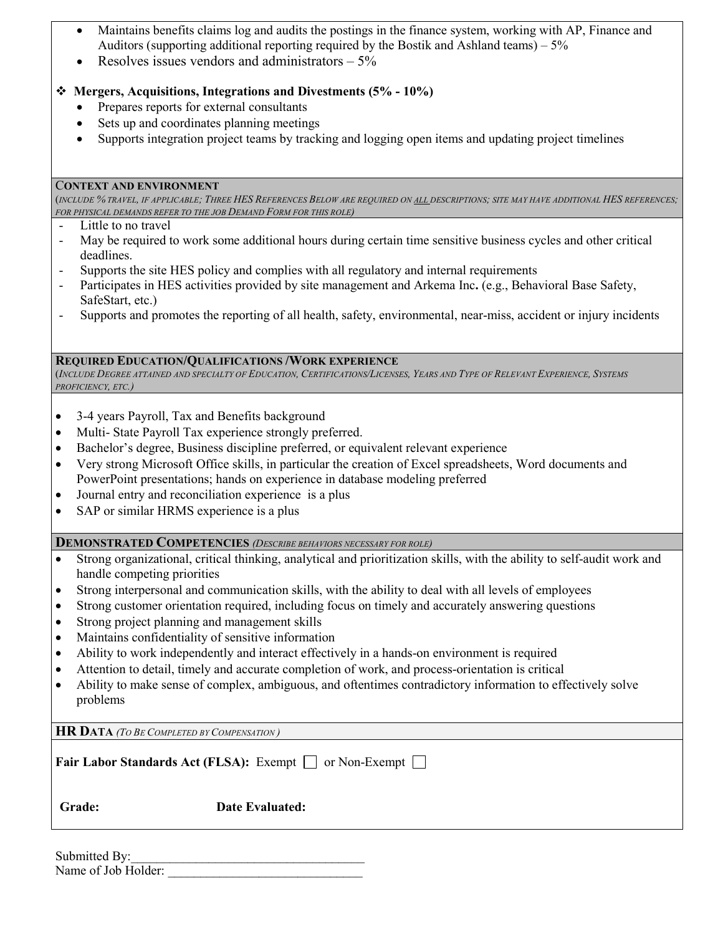- Maintains benefits claims log and audits the postings in the finance system, working with AP, Finance and Auditors (supporting additional reporting required by the Bostik and Ashland teams) – 5%
- Resolves issues vendors and administrators  $-5\%$

# **Mergers, Acquisitions, Integrations and Divestments (5% - 10%)**

- Prepares reports for external consultants
- Sets up and coordinates planning meetings
- Supports integration project teams by tracking and logging open items and updating project timelines

## C**ONTEXT AND ENVIRONMENT**

(*INCLUDE % TRAVEL, IF APPLICABLE; THREE HES REFERENCES BELOW ARE REQUIRED ON ALL DESCRIPTIONS; SITE MAY HAVE ADDITIONAL HES REFERENCES; FOR PHYSICAL DEMANDS REFER TO THE JOB DEMAND FORM FOR THIS ROLE)*

- Little to no travel
- May be required to work some additional hours during certain time sensitive business cycles and other critical deadlines.
- Supports the site HES policy and complies with all regulatory and internal requirements
- Participates in HES activities provided by site management and Arkema Inc**.** (e.g., Behavioral Base Safety, SafeStart, etc.)
- Supports and promotes the reporting of all health, safety, environmental, near-miss, accident or injury incidents

## **REQUIRED EDUCATION/QUALIFICATIONS /WORK EXPERIENCE**

(*INCLUDE DEGREE ATTAINED AND SPECIALTY OF EDUCATION, CERTIFICATIONS/LICENSES, YEARS AND TYPE OF RELEVANT EXPERIENCE, SYSTEMS PROFICIENCY, ETC.)*

- 3-4 years Payroll, Tax and Benefits background
- Multi- State Payroll Tax experience strongly preferred.
- Bachelor's degree, Business discipline preferred, or equivalent relevant experience
- Very strong Microsoft Office skills, in particular the creation of Excel spreadsheets, Word documents and PowerPoint presentations; hands on experience in database modeling preferred
- Journal entry and reconciliation experience is a plus
- SAP or similar HRMS experience is a plus

## **DEMONSTRATED COMPETENCIES** *(DESCRIBE BEHAVIORS NECESSARY FOR ROLE)*

- Strong organizational, critical thinking, analytical and prioritization skills, with the ability to self-audit work and handle competing priorities
- Strong interpersonal and communication skills, with the ability to deal with all levels of employees
- Strong customer orientation required, including focus on timely and accurately answering questions
- Strong project planning and management skills
- Maintains confidentiality of sensitive information
- Ability to work independently and interact effectively in a hands-on environment is required
- Attention to detail, timely and accurate completion of work, and process-orientation is critical
- Ability to make sense of complex, ambiguous, and oftentimes contradictory information to effectively solve problems

**HR DATA** *(TO BE COMPLETED BY COMPENSATION )*

| Fair Labor Standards Act (FLSA): Exempt □ or Non-Exempt □ |  |  |
|-----------------------------------------------------------|--|--|
|-----------------------------------------------------------|--|--|

 **Grade: Date Evaluated:** 

| Submitted By:       |  |
|---------------------|--|
| Name of Job Holder: |  |